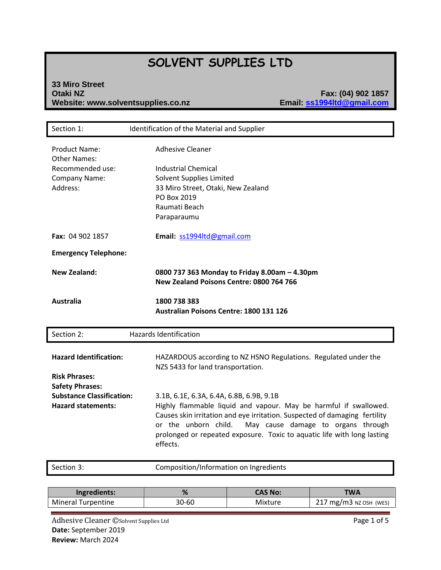# **SOLVENT SUPPLIES LTD**

#### **33 Miro Street Otaki NZ Fax: (04) 902 1857 Website: www.solventsupplies.co.nz**

| Section 1:                                                                                                                                       | Identification of the Material and Supplier                                                                                                                                                                                                                                                                                                                                                                                                             |
|--------------------------------------------------------------------------------------------------------------------------------------------------|---------------------------------------------------------------------------------------------------------------------------------------------------------------------------------------------------------------------------------------------------------------------------------------------------------------------------------------------------------------------------------------------------------------------------------------------------------|
| <b>Product Name:</b><br><b>Other Names:</b><br>Recommended use:<br>Company Name:<br>Address:                                                     | <b>Adhesive Cleaner</b><br><b>Industrial Chemical</b><br>Solvent Supplies Limited<br>33 Miro Street, Otaki, New Zealand<br>PO Box 2019<br>Raumati Beach<br>Paraparaumu                                                                                                                                                                                                                                                                                  |
| Fax: 04 902 1857                                                                                                                                 | Email: ss1994ltd@gmail.com                                                                                                                                                                                                                                                                                                                                                                                                                              |
| <b>Emergency Telephone:</b>                                                                                                                      |                                                                                                                                                                                                                                                                                                                                                                                                                                                         |
| <b>New Zealand:</b>                                                                                                                              | 0800 737 363 Monday to Friday 8.00am - 4.30pm<br>New Zealand Poisons Centre: 0800 764 766                                                                                                                                                                                                                                                                                                                                                               |
| <b>Australia</b>                                                                                                                                 | 1800 738 383<br>Australian Poisons Centre: 1800 131 126                                                                                                                                                                                                                                                                                                                                                                                                 |
| Section 2:                                                                                                                                       | <b>Hazards Identification</b>                                                                                                                                                                                                                                                                                                                                                                                                                           |
| <b>Hazard Identification:</b><br><b>Risk Phrases:</b><br><b>Safety Phrases:</b><br><b>Substance Classification:</b><br><b>Hazard statements:</b> | HAZARDOUS according to NZ HSNO Regulations. Regulated under the<br>NZS 5433 for land transportation.<br>3.1B, 6.1E, 6.3A, 6.4A, 6.8B, 6.9B, 9.1B<br>Highly flammable liquid and vapour. May be harmful if swallowed.<br>Causes skin irritation and eye irritation. Suspected of damaging fertility<br>or the unborn child.<br>May cause damage to organs through<br>prolonged or repeated exposure. Toxic to aquatic life with long lasting<br>effects. |
| Section 3:                                                                                                                                       | Composition/Information on Ingredients                                                                                                                                                                                                                                                                                                                                                                                                                  |

| Ingredients:       | %     | <b>CAS No:</b> | TWA                    |
|--------------------|-------|----------------|------------------------|
| Mineral Turpentine | 30-60 | <b>Mixture</b> | 217 mg/m3 NZ OSH (WES) |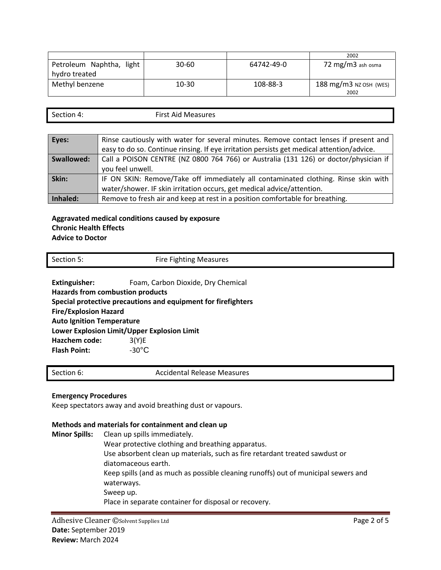|                             |           |            | 2002                              |
|-----------------------------|-----------|------------|-----------------------------------|
| Petroleum Naphtha,<br>light | $30 - 60$ | 64742-49-0 | 72 mg/m3 ash osma                 |
| hydro treated               |           |            |                                   |
| Methyl benzene              | $10 - 30$ | 108-88-3   | $188 \text{ mg/m}$ 3 NZ OSH (WES) |
|                             |           |            | 2002                              |

| $\sim$<br>Section 4: | $First$ $\Delta$ id<br>Measures |
|----------------------|---------------------------------|
|                      |                                 |

| Eyes:      | Rinse cautiously with water for several minutes. Remove contact lenses if present and     |
|------------|-------------------------------------------------------------------------------------------|
|            | easy to do so. Continue rinsing. If eye irritation persists get medical attention/advice. |
| Swallowed: | Call a POISON CENTRE (NZ 0800 764 766) or Australia (131 126) or doctor/physician if      |
|            | you feel unwell.                                                                          |
| Skin:      | IF ON SKIN: Remove/Take off immediately all contaminated clothing. Rinse skin with        |
|            | water/shower. IF skin irritation occurs, get medical advice/attention.                    |
| Inhaled:   | Remove to fresh air and keep at rest in a position comfortable for breathing.             |

#### **Aggravated medical conditions caused by exposure Chronic Health Effects Advice to Doctor**

| Section 5:           | <b>Fire Fighting Measures</b>      |  |
|----------------------|------------------------------------|--|
| <b>Extinguisher:</b> | Foam, Carbon Dioxide, Dry Chemical |  |

**Hazards from combustion products Special protective precautions and equipment for firefighters Fire/Explosion Hazard**

**Auto Ignition Temperature**

**Lower Explosion Limit/Upper Explosion Limit**

**Hazchem code:** 3(Y)E **Flash Point:**  $-30^{\circ}$ C

Section 6: Accidental Release Measures

## **Emergency Procedures**

Keep spectators away and avoid breathing dust or vapours.

### **Methods and materials for containment and clean up**

**Minor Spills:** Clean up spills immediately. Wear protective clothing and breathing apparatus. Use absorbent clean up materials, such as fire retardant treated sawdust or diatomaceous earth. Keep spills (and as much as possible cleaning runoffs) out of municipal sewers and waterways. Sweep up. Place in separate container for disposal or recovery.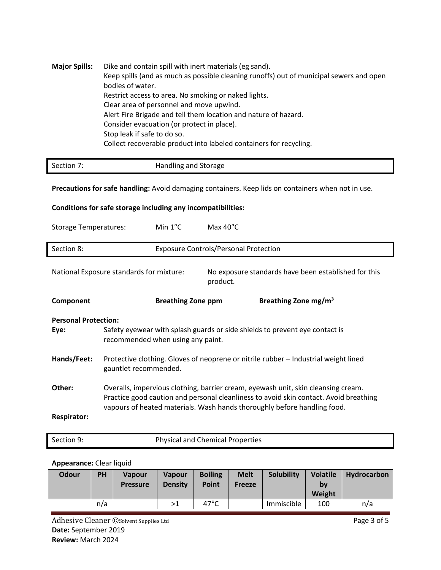| <b>Major Spills:</b> | Dike and contain spill with inert materials (eg sand).<br>Keep spills (and as much as possible cleaning runoffs) out of municipal sewers and open<br>bodies of water. |
|----------------------|-----------------------------------------------------------------------------------------------------------------------------------------------------------------------|
|                      | Restrict access to area. No smoking or naked lights.                                                                                                                  |
|                      | Clear area of personnel and move upwind.                                                                                                                              |
|                      | Alert Fire Brigade and tell them location and nature of hazard.                                                                                                       |
|                      | Consider evacuation (or protect in place).                                                                                                                            |
|                      | Stop leak if safe to do so.                                                                                                                                           |
|                      | Collect recoverable product into labeled containers for recycling.                                                                                                    |

| Section 7: | Handling and Storage |
|------------|----------------------|

**Precautions for safe handling:** Avoid damaging containers. Keep lids on containers when not in use.

## **Conditions for safe storage including any incompatibilities:**

| <b>Storage Temperatures:</b> |                                                                                                                                                                                                                                                        | Min $1^{\circ}$ C         | Max $40^{\circ}$ C                           |                                                      |  |
|------------------------------|--------------------------------------------------------------------------------------------------------------------------------------------------------------------------------------------------------------------------------------------------------|---------------------------|----------------------------------------------|------------------------------------------------------|--|
| Section 8:                   |                                                                                                                                                                                                                                                        |                           | <b>Exposure Controls/Personal Protection</b> |                                                      |  |
|                              | National Exposure standards for mixture:                                                                                                                                                                                                               |                           | product.                                     | No exposure standards have been established for this |  |
| Component                    |                                                                                                                                                                                                                                                        | <b>Breathing Zone ppm</b> |                                              | Breathing Zone mg/m <sup>3</sup>                     |  |
| <b>Personal Protection:</b>  |                                                                                                                                                                                                                                                        |                           |                                              |                                                      |  |
| Eye:                         | Safety eyewear with splash guards or side shields to prevent eye contact is<br>recommended when using any paint.                                                                                                                                       |                           |                                              |                                                      |  |
| Hands/Feet:                  | Protective clothing. Gloves of neoprene or nitrile rubber - Industrial weight lined<br>gauntlet recommended.                                                                                                                                           |                           |                                              |                                                      |  |
| Other:                       | Overalls, impervious clothing, barrier cream, eyewash unit, skin cleansing cream.<br>Practice good caution and personal cleanliness to avoid skin contact. Avoid breathing<br>vapours of heated materials. Wash hands thoroughly before handling food. |                           |                                              |                                                      |  |
| <b>Respirator:</b>           |                                                                                                                                                                                                                                                        |                           |                                              |                                                      |  |

| <b>Physical and Chemical Properties</b><br>Section 9: |
|-------------------------------------------------------|
|-------------------------------------------------------|

## **Appearance:** Clear liquid

| <b>Odour</b> | PH  | <b>Vapour</b><br><b>Pressure</b> | <b>Vapour</b><br><b>Density</b> | <b>Boiling</b><br><b>Point</b> | <b>Melt</b><br><b>Freeze</b> | Solubility | <b>Volatile</b><br>bv<br>Weight | Hydrocarbon |
|--------------|-----|----------------------------------|---------------------------------|--------------------------------|------------------------------|------------|---------------------------------|-------------|
|              | n/a |                                  | >1                              | $47^{\circ}$ C                 |                              | Immiscible | 100                             | n/a         |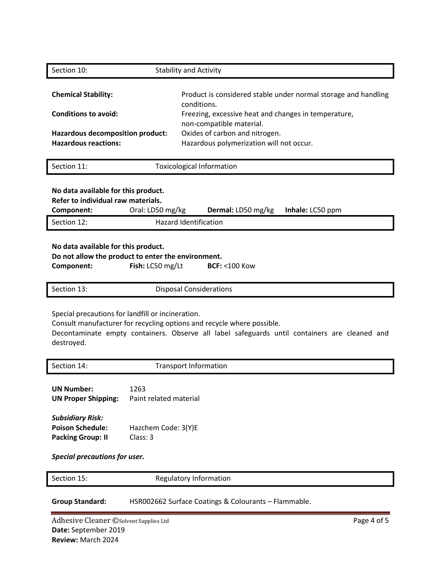| Section 10:                                                                                                                                                               | <b>Stability and Activity</b>                                     |                                                                                                                                                                         |  |  |
|---------------------------------------------------------------------------------------------------------------------------------------------------------------------------|-------------------------------------------------------------------|-------------------------------------------------------------------------------------------------------------------------------------------------------------------------|--|--|
| <b>Chemical Stability:</b><br><b>Conditions to avoid:</b>                                                                                                                 |                                                                   | Product is considered stable under normal storage and handling<br>conditions.<br>Freezing, excessive heat and changes in temperature,<br>non-compatible material.       |  |  |
| Hazardous decomposition product:<br><b>Hazardous reactions:</b>                                                                                                           |                                                                   | Oxides of carbon and nitrogen.<br>Hazardous polymerization will not occur.                                                                                              |  |  |
| Section 11:                                                                                                                                                               |                                                                   | <b>Toxicological Information</b>                                                                                                                                        |  |  |
| No data available for this product.<br>Refer to individual raw materials.<br>Component:                                                                                   | Oral: LD50 mg/kg                                                  | Dermal: LD50 mg/kg<br>Inhale: LC50 ppm                                                                                                                                  |  |  |
| Section 12:                                                                                                                                                               |                                                                   | <b>Hazard Identification</b>                                                                                                                                            |  |  |
| No data available for this product.<br>Do not allow the product to enter the environment.<br>Component:                                                                   | Fish: LC50 mg/Lt                                                  | <b>BCF: &lt;100 Kow</b>                                                                                                                                                 |  |  |
| Section 13:                                                                                                                                                               |                                                                   | <b>Disposal Considerations</b>                                                                                                                                          |  |  |
| Special precautions for landfill or incineration.<br>destroyed.                                                                                                           |                                                                   | Consult manufacturer for recycling options and recycle where possible.<br>Decontaminate empty containers. Observe all label safeguards until containers are cleaned and |  |  |
| Section 14:                                                                                                                                                               |                                                                   | <b>Transport Information</b>                                                                                                                                            |  |  |
| <b>UN Number:</b><br><b>UN Proper Shipping:</b><br><b>Subsidiary Risk:</b><br><b>Poison Schedule:</b><br><b>Packing Group: II</b><br><b>Special precautions for user.</b> | 1263<br>Paint related material<br>Hazchem Code: 3(Y)E<br>Class: 3 |                                                                                                                                                                         |  |  |
| Section 15:                                                                                                                                                               |                                                                   | Regulatory Information                                                                                                                                                  |  |  |
|                                                                                                                                                                           |                                                                   |                                                                                                                                                                         |  |  |

**Group Standard:** HSR002662 Surface Coatings & Colourants – Flammable.